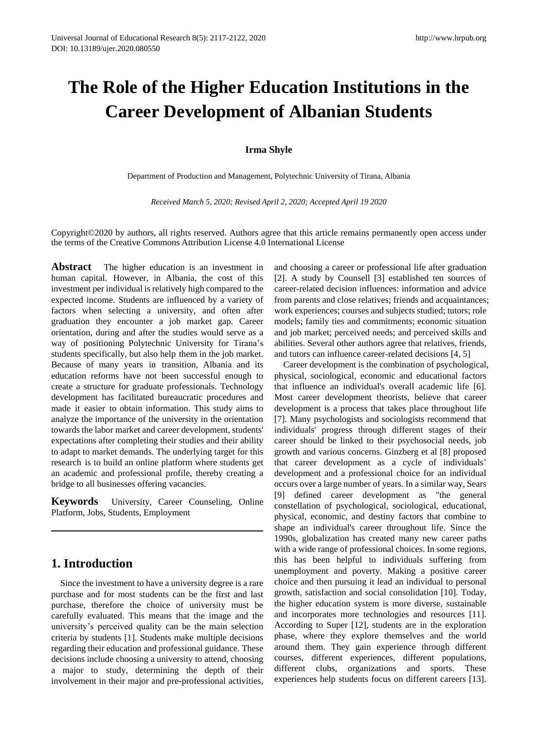# **The Role of the Higher Education Institutions in the Career Development of Albanian Students**

#### **Irma Shyle**

Department of Production and Management, Polytechnic University of Tirana, Albania

*Received March 5, 2020; Revised April 2, 2020; Accepted April 19 2020*

Copyright©2020 by authors, all rights reserved. Authors agree that this article remains permanently open access under the terms of the Creative Commons Attribution License 4.0 International License

**Abstract** The higher education is an investment in human capital. However, in Albania, the cost of this investment per individual is relatively high compared to the expected income. Students are influenced by a variety of factors when selecting a university, and often after graduation they encounter a job market gap. Career orientation, during and after the studies would serve as a way of positioning Polytechnic University for Tirana"s students specifically, but also help them in the job market. Because of many years in transition, Albania and its education reforms have not been successful enough to create a structure for graduate professionals. Technology development has facilitated bureaucratic procedures and made it easier to obtain information. This study aims to analyze the importance of the university in the orientation towards the labor market and career development, students' expectations after completing their studies and their ability to adapt to market demands. The underlying target for this research is to build an online platform where students get an academic and professional profile, thereby creating a bridge to all businesses offering vacancies.

**Keywords** University, Career Counseling, Online Platform, Jobs, Students, Employment

## **1. Introduction**

Since the investment to have a university degree is a rare purchase and for most students can be the first and last purchase, therefore the choice of university must be carefully evaluated. This means that the image and the university"s perceived quality can be the main selection criteria by students [1]. Students make multiple decisions regarding their education and professional guidance. These decisions include choosing a university to attend, choosing a major to study, determining the depth of their involvement in their major and pre-professional activities,

and choosing a career or professional life after graduation [2]. A study by Counsell [3] established ten sources of career-related decision influences: information and advice from parents and close relatives; friends and acquaintances; work experiences; courses and subjects studied; tutors; role models; family ties and commitments; economic situation and job market; perceived needs; and perceived skills and abilities. Several other authors agree that relatives, friends, and tutors can influence career-related decisions [4, 5]

Career development is the combination of psychological, physical, sociological, economic and educational factors that influence an individual's overall academic life [6]. Most career development theorists, believe that career development is a process that takes place throughout life [7]. Many psychologists and sociologists recommend that individuals' progress through different stages of their career should be linked to their psychosocial needs, job growth and various concerns. Ginzberg et al [8] proposed that career development as a cycle of individuals' development and a professional choice for an individual occurs over a large number of years. In a similar way, Sears [9] defined career development as "the general constellation of psychological, sociological, educational, physical, economic, and destiny factors that combine to shape an individual's career throughout life. Since the 1990s, globalization has created many new career paths with a wide range of professional choices. In some regions, this has been helpful to individuals suffering from unemployment and poverty. Making a positive career choice and then pursuing it lead an individual to personal growth, satisfaction and social consolidation [10]. Today, the higher education system is more diverse, sustainable and incorporates more technologies and resources [11]. According to Super [12], students are in the exploration phase, where they explore themselves and the world around them. They gain experience through different courses, different experiences, different populations, different clubs, organizations and sports. These experiences help students focus on different careers [13].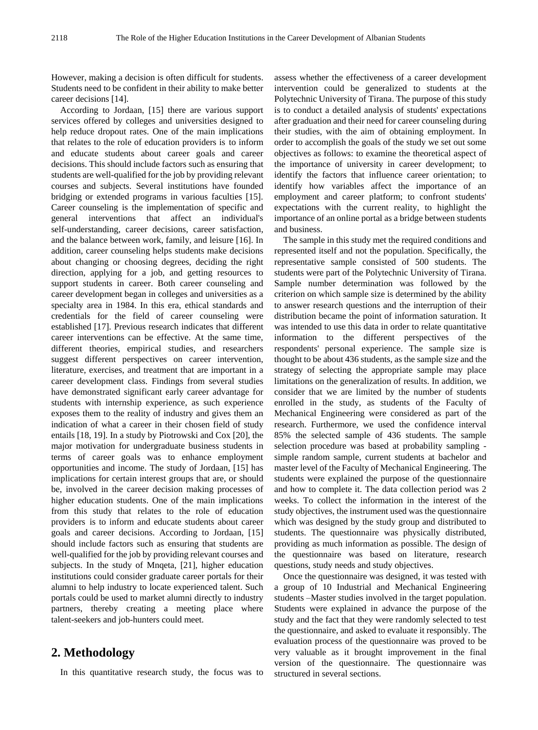However, making a decision is often difficult for students. Students need to be confident in their ability to make better career decisions [14].

According to Jordaan, [15] there are various support services offered by colleges and universities designed to help reduce dropout rates. One of the main implications that relates to the role of education providers is to inform and educate students about career goals and career decisions. This should include factors such as ensuring that students are well-qualified for the job by providing relevant courses and subjects. Several institutions have founded bridging or extended programs in various faculties [15]. Career counseling is the implementation of specific and general interventions that affect an individual's self-understanding, career decisions, career satisfaction, and the balance between work, family, and leisure [16]. In addition, career counseling helps students make decisions about changing or choosing degrees, deciding the right direction, applying for a job, and getting resources to support students in career. Both career counseling and career development began in colleges and universities as a specialty area in 1984. In this era, ethical standards and credentials for the field of career counseling were established [17]. Previous research indicates that different career interventions can be effective. At the same time, different theories, empirical studies, and researchers suggest different perspectives on career intervention, literature, exercises, and treatment that are important in a career development class. Findings from several studies have demonstrated significant early career advantage for students with internship experience, as such experience exposes them to the reality of industry and gives them an indication of what a career in their chosen field of study entails [18, 19]. In a study by Piotrowski and Cox [20], the major motivation for undergraduate business students in terms of career goals was to enhance employment opportunities and income. The study of Jordaan, [15] has implications for certain interest groups that are, or should be, involved in the career decision making processes of higher education students. One of the main implications from this study that relates to the role of education providers is to inform and educate students about career goals and career decisions. According to Jordaan, [15] should include factors such as ensuring that students are well-qualified for the job by providing relevant courses and subjects. In the study of Mnqeta, [21], higher education institutions could consider graduate career portals for their alumni to help industry to locate experienced talent. Such portals could be used to market alumni directly to industry partners, thereby creating a meeting place where talent-seekers and job-hunters could meet.

## **2. Methodology**

In this quantitative research study, the focus was to

assess whether the effectiveness of a career development intervention could be generalized to students at the Polytechnic University of Tirana. The purpose of this study is to conduct a detailed analysis of students' expectations after graduation and their need for career counseling during their studies, with the aim of obtaining employment. In order to accomplish the goals of the study we set out some objectives as follows: to examine the theoretical aspect of the importance of university in career development; to identify the factors that influence career orientation; to identify how variables affect the importance of an employment and career platform; to confront students' expectations with the current reality, to highlight the importance of an online portal as a bridge between students and business.

The sample in this study met the required conditions and represented itself and not the population. Specifically, the representative sample consisted of 500 students. The students were part of the Polytechnic University of Tirana. Sample number determination was followed by the criterion on which sample size is determined by the ability to answer research questions and the interruption of their distribution became the point of information saturation. It was intended to use this data in order to relate quantitative information to the different perspectives of the respondents' personal experience. The sample size is thought to be about 436 students, as the sample size and the strategy of selecting the appropriate sample may place limitations on the generalization of results. In addition, we consider that we are limited by the number of students enrolled in the study, as students of the Faculty of Mechanical Engineering were considered as part of the research. Furthermore, we used the confidence interval 85% the selected sample of 436 students. The sample selection procedure was based at probability sampling simple random sample, current students at bachelor and master level of the Faculty of Mechanical Engineering. The students were explained the purpose of the questionnaire and how to complete it. The data collection period was 2 weeks. To collect the information in the interest of the study objectives, the instrument used was the questionnaire which was designed by the study group and distributed to students. The questionnaire was physically distributed, providing as much information as possible. The design of the questionnaire was based on literature, research questions, study needs and study objectives.

Once the questionnaire was designed, it was tested with a group of 10 Industrial and Mechanical Engineering students –Master studies involved in the target population. Students were explained in advance the purpose of the study and the fact that they were randomly selected to test the questionnaire, and asked to evaluate it responsibly. The evaluation process of the questionnaire was proved to be very valuable as it brought improvement in the final version of the questionnaire. The questionnaire was structured in several sections.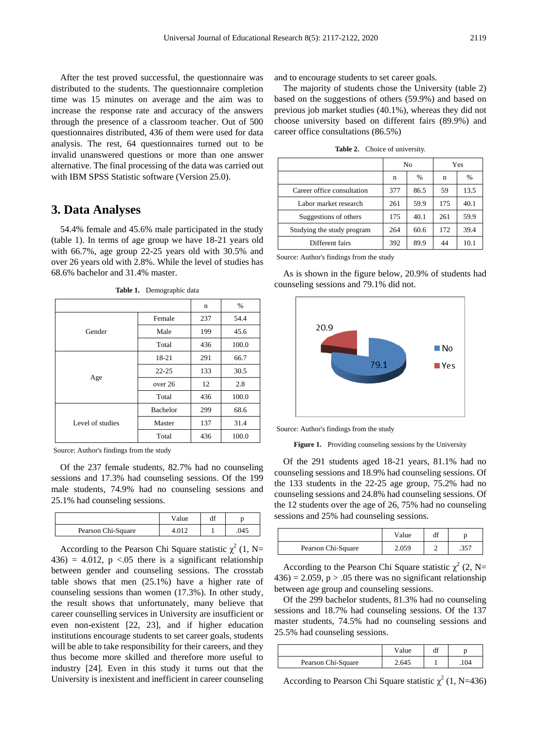After the test proved successful, the questionnaire was distributed to the students. The questionnaire completion time was 15 minutes on average and the aim was to increase the response rate and accuracy of the answers through the presence of a classroom teacher. Out of 500 questionnaires distributed, 436 of them were used for data analysis. The rest, 64 questionnaires turned out to be invalid unanswered questions or more than one answer alternative. The final processing of the data was carried out with IBM SPSS Statistic software (Version 25.0).

#### **3. Data Analyses**

54.4% female and 45.6% male participated in the study (table 1). In terms of age group we have 18-21 years old with 66.7%, age group 22-25 years old with 30.5% and over 26 years old with 2.8%. While the level of studies has 68.6% bachelor and 31.4% master.

|                  |                 | n   | $\%$  |
|------------------|-----------------|-----|-------|
|                  | Female          | 237 | 54.4  |
| Gender           | Male            | 199 | 45.6  |
|                  | Total           | 436 | 100.0 |
|                  | 18-21           | 291 | 66.7  |
|                  | $22 - 25$       | 133 | 30.5  |
| Age              | over 26         | 12  | 2.8   |
|                  | Total           | 436 | 100.0 |
|                  | <b>Bachelor</b> | 299 | 68.6  |
| Level of studies | Master          | 137 | 31.4  |
|                  | Total           | 436 | 100.0 |

**Table 1.** Demographic data

Source: Author's findings from the study

Of the 237 female students, 82.7% had no counseling sessions and 17.3% had counseling sessions. Of the 199 male students, 74.9% had no counseling sessions and 25.1% had counseling sessions.

|                    | Value | aı |      |
|--------------------|-------|----|------|
| Pearson Chi-Square |       |    | .045 |

According to the Pearson Chi Square statistic  $\chi^2$  (1, N= 436) = 4.012,  $p \lt 0.05$  there is a significant relationship between gender and counseling sessions. The crosstab table shows that men (25.1%) have a higher rate of counseling sessions than women (17.3%). In other study, the result shows that unfortunately, many believe that career counselling services in University are insufficient or even non-existent [22, 23], and if higher education institutions encourage students to set career goals, students will be able to take responsibility for their careers, and they thus become more skilled and therefore more useful to industry [24]. Even in this study it turns out that the University is inexistent and inefficient in career counseling

and to encourage students to set career goals.

The majority of students chose the University (table 2) based on the suggestions of others (59.9%) and based on previous job market studies (40.1%), whereas they did not choose university based on different fairs (89.9%) and career office consultations (86.5%)

**Table 2.** Choice of university.

|                            | No  |      | Yes |      |
|----------------------------|-----|------|-----|------|
|                            | n   | %    | n   | $\%$ |
| Career office consultation | 377 | 86.5 | 59  | 13.5 |
| Labor market research      | 261 | 59.9 | 175 | 40.1 |
| Suggestions of others      | 175 | 40.1 | 261 | 59.9 |
| Studying the study program | 264 | 60.6 | 172 | 39.4 |
| Different fairs            | 392 | 89.9 | 44  | 10.1 |

Source: Author's findings from the study

As is shown in the figure below, 20.9% of students had counseling sessions and 79.1% did not.



Source: Author's findings from the study

Figure 1. Providing counseling sessions by the University

Of the 291 students aged 18-21 years, 81.1% had no counseling sessions and 18.9% had counseling sessions. Of the 133 students in the 22-25 age group, 75.2% had no counseling sessions and 24.8% had counseling sessions. Of the 12 students over the age of 26, 75% had no counseling sessions and 25% had counseling sessions.

|                    | Value | αı |      |
|--------------------|-------|----|------|
| Pearson Chi-Square | 2.059 |    | .357 |

According to the Pearson Chi Square statistic  $\chi^2$  (2, N=  $436$ ) = 2.059, p > .05 there was no significant relationship between age group and counseling sessions.

Of the 299 bachelor students, 81.3% had no counseling sessions and 18.7% had counseling sessions. Of the 137 master students, 74.5% had no counseling sessions and 25.5% had counseling sessions.

|                    | Value |     |
|--------------------|-------|-----|
| Pearson Chi-Square | 2.645 | 104 |

According to Pearson Chi Square statistic  $\chi^2$  (1, N=436)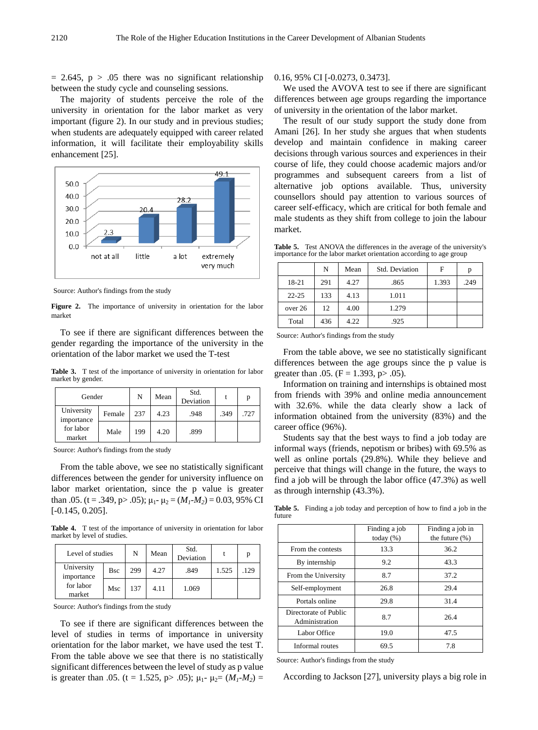$= 2.645$ , p  $> .05$  there was no significant relationship between the study cycle and counseling sessions.

The majority of students perceive the role of the university in orientation for the labor market as very important (figure 2). In our study and in previous studies; when students are adequately equipped with career related information, it will facilitate their employability skills enhancement [25].



Source: Author's findings from the study

Figure 2. The importance of university in orientation for the labor market

To see if there are significant differences between the gender regarding the importance of the university in the orientation of the labor market we used the T-test

**Table 3.** T test of the importance of university in orientation for labor market by gender.

| Gender                   |        | N   | Mean | Std.<br>Deviation |      | n    |
|--------------------------|--------|-----|------|-------------------|------|------|
| University<br>importance | Female | 237 | 4.23 | .948              | .349 | .727 |
| for labor<br>market      | Male   | 199 | 4.20 | .899              |      |      |

Source: Author's findings from the study

From the table above, we see no statistically significant differences between the gender for university influence on labor market orientation, since the p value is greater than .05. (t = .349, p > .05);  $\mu_1$ - $\mu_2$  = ( $M_1$ - $M_2$ ) = 0.03, 95% CI [-0.145, 0.205].

**Table 4.** T test of the importance of university in orientation for labor market by level of studies.

| Level of studies         |             | N   | Mean | Std.<br>Deviation |       |      |
|--------------------------|-------------|-----|------|-------------------|-------|------|
| University<br>importance | <b>B</b> sc | 299 | 4.27 | .849              | 1.525 | .129 |
| for labor<br>market      | Msc         | 137 | 4.11 | 1.069             |       |      |

Source: Author's findings from the study

To see if there are significant differences between the level of studies in terms of importance in university orientation for the labor market, we have used the test T. From the table above we see that there is no statistically significant differences between the level of study as p value is greater than .05. (t = 1.525, p> .05);  $\mu_1$ -  $\mu_2 = (M_1$ - $M_2)$  = 0.16, 95% CI [-0.0273, 0.3473].

We used the AVOVA test to see if there are significant differences between age groups regarding the importance of university in the orientation of the labor market.

The result of our study support the study done from Amani [26]. In her study she argues that when students develop and maintain confidence in making career decisions through various sources and experiences in their course of life, they could choose academic majors and/or programmes and subsequent careers from a list of alternative job options available. Thus, university counsellors should pay attention to various sources of career self-efficacy, which are critical for both female and male students as they shift from college to join the labour market.

**Table 5.** Test ANOVA the differences in the average of the university's importance for the labor market orientation according to age group

|           | N   | Mean | Std. Deviation | F     | p    |
|-----------|-----|------|----------------|-------|------|
| 18-21     | 291 | 4.27 | .865           | 1.393 | .249 |
| $22 - 25$ | 133 | 4.13 | 1.011          |       |      |
| over 26   | 12  | 4.00 | 1.279          |       |      |
| Total     | 436 | 4.22 | .925           |       |      |

Source: Author's findings from the study

From the table above, we see no statistically significant differences between the age groups since the p value is greater than .05. ( $F = 1.393$ ,  $p > .05$ ).

Information on training and internships is obtained most from friends with 39% and online media announcement with 32.6%. while the data clearly show a lack of information obtained from the university (83%) and the career office (96%).

Students say that the best ways to find a job today are informal ways (friends, nepotism or bribes) with 69.5% as well as online portals (29.8%). While they believe and perceive that things will change in the future, the ways to find a job will be through the labor office (47.3%) as well as through internship (43.3%).

**Table 5.** Finding a job today and perception of how to find a job in the future

|                                         | Finding a job<br>today $(\%)$ | Finding a job in<br>the future $(\% )$ |
|-----------------------------------------|-------------------------------|----------------------------------------|
| From the contests                       | 13.3                          | 36.2                                   |
| By internship                           | 9.2                           | 43.3                                   |
| From the University                     | 8.7                           | 37.2                                   |
| Self-employment                         | 26.8                          | 29.4                                   |
| Portals online                          | 29.8                          | 31.4                                   |
| Directorate of Public<br>Administration | 8.7                           | 26.4                                   |
| Labor Office                            | 19.0                          | 47.5                                   |
| Informal routes                         | 69.5                          | 7.8                                    |

Source: Author's findings from the study

According to Jackson [27], university plays a big role in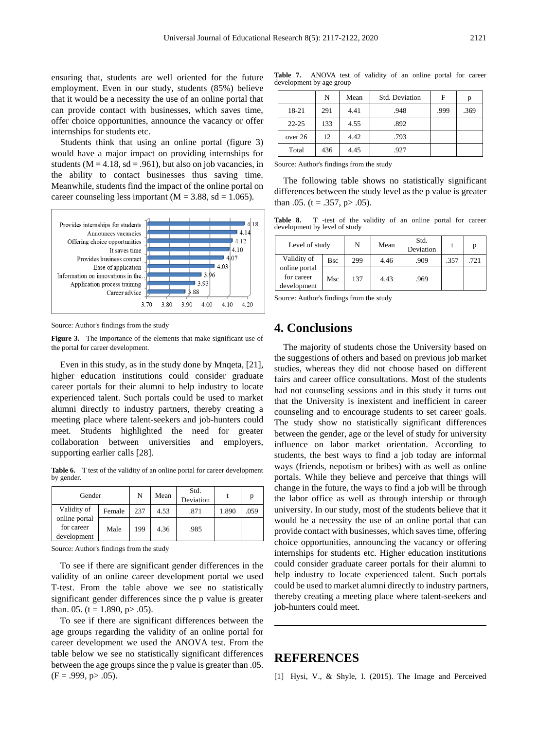ensuring that, students are well oriented for the future employment. Even in our study, students (85%) believe that it would be a necessity the use of an online portal that can provide contact with businesses, which saves time, offer choice opportunities, announce the vacancy or offer internships for students etc.

Students think that using an online portal (figure 3) would have a major impact on providing internships for students ( $M = 4.18$ , sd = .961), but also on job vacancies, in the ability to contact businesses thus saving time. Meanwhile, students find the impact of the online portal on career counseling less important ( $M = 3.88$ , sd = 1.065).



Source: Author's findings from the study

**Figure 3.** The importance of the elements that make significant use of the portal for career development.

Even in this study, as in the study done by Mnqeta, [21], higher education institutions could consider graduate career portals for their alumni to help industry to locate experienced talent. Such portals could be used to market alumni directly to industry partners, thereby creating a meeting place where talent-seekers and job-hunters could meet. Students highlighted the need for greater collaboration between universities and employers, supporting earlier calls [28].

**Table 6.** T test of the validity of an online portal for career development by gender.

| Gender                                     |        | N   | Mean | Std.<br>Deviation |       |      |
|--------------------------------------------|--------|-----|------|-------------------|-------|------|
| Validity of                                | Female | 237 | 4.53 | .871              | 1.890 | .059 |
| online portal<br>for career<br>development | Male   | 199 | 4.36 | .985              |       |      |

Source: Author's findings from the study

To see if there are significant gender differences in the validity of an online career development portal we used T-test. From the table above we see no statistically significant gender differences since the p value is greater than. 05. (t = 1.890, p > .05).

To see if there are significant differences between the age groups regarding the validity of an online portal for career development we used the ANOVA test. From the table below we see no statistically significant differences between the age groups since the p value is greater than .05.  $(F = .999, p > .05)$ .

**Table 7.** ANOVA test of validity of an online portal for career development by age group

|           | N   | Mean | Std. Deviation | F    | p    |
|-----------|-----|------|----------------|------|------|
| 18-21     | 291 | 4.41 | .948           | .999 | .369 |
| $22 - 25$ | 133 | 4.55 | .892           |      |      |
| over 26   | 12  | 4.42 | .793           |      |      |
| Total     | 436 | 4.45 | .927           |      |      |

Source: Author's findings from the study

The following table shows no statistically significant differences between the study level as the p value is greater than  $.05.$  (t =  $.357$ , p $> .05$ ).

**Table 8**. T -test of the validity of an online portal for career development by level of study

| Level of study                             |     | N   | Mean | Std.<br>Deviation |      |      |
|--------------------------------------------|-----|-----|------|-------------------|------|------|
| Validity of                                | Bsc | 299 | 4.46 | .909              | .357 | .721 |
| online portal<br>for career<br>development | Msc | 137 | 4.43 | .969              |      |      |

Source: Author's findings from the study

### **4. Conclusions**

The majority of students chose the University based on the suggestions of others and based on previous job market studies, whereas they did not choose based on different fairs and career office consultations. Most of the students had not counseling sessions and in this study it turns out that the University is inexistent and inefficient in career counseling and to encourage students to set career goals. The study show no statistically significant differences between the gender, age or the level of study for university influence on labor market orientation. According to students, the best ways to find a job today are informal ways (friends, nepotism or bribes) with as well as online portals. While they believe and perceive that things will change in the future, the ways to find a job will be through the labor office as well as through intership or through university. In our study, most of the students believe that it would be a necessity the use of an online portal that can provide contact with businesses, which saves time, offering choice opportunities, announcing the vacancy or offering internships for students etc. Higher education institutions could consider graduate career portals for their alumni to help industry to locate experienced talent. Such portals could be used to market alumni directly to industry partners, thereby creating a meeting place where talent-seekers and job-hunters could meet.

## **REFERENCES**

[1] Hysi, V., & Shyle, I. (2015). The Image and Perceived